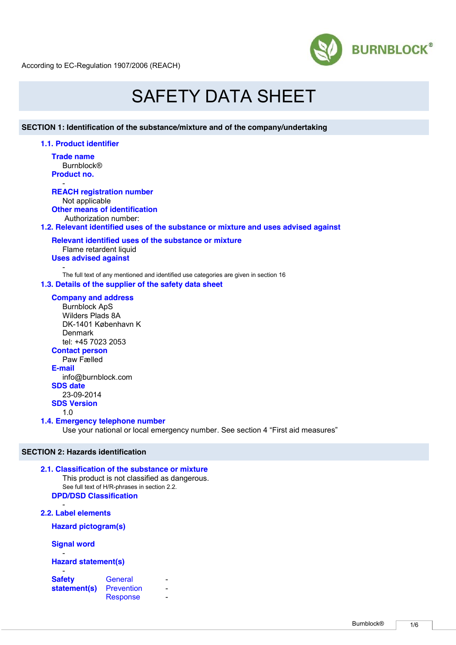

# SAFETY DATA SHEET

# **SECTION 1: Identification of the substance/mixture and of the company/undertaking**

### **1.1. Product identifier**

**Trade name Burnblock<sup>®</sup> Product no.**

#### - **REACH registration number**

Not applicable **Other means of identification**

Authorization number:

**1.2. Relevant identified uses of the substance or mixture and uses advised against** 

## **Relevant identified uses of the substance or mixture** Flame retardent liquid **Uses advised against**

- The full text of any mentioned and identified use categories are given in section 16

# **1.3. Details of the supplier of the safety data sheet**

# **Company and address**

Burnblock ApS Wilders Plads 8A DK-1401 København K Denmark tel: +45 7023 2053 **Contact person** Paw Fælled **E-mail** info@burnblock.com **SDS date** 23-09-2014

# **SDS Version**

1.0

# **1.4. Emergency telephone number**

Use your national or local emergency number. See section 4 "First aid measures"

# **SECTION 2: Hazards identification**

# **2.1. Classification of the substance or mixture**  This product is not classified as dangerous. See full text of H/R-phrases in section 2.2.

**DPD/DSD Classification**

**2.2. Label elements** 

-

**Hazard pictogram(s)**

**Signal word**

### - **Hazard statement(s)**

| <b>Safety</b> | General         |  |
|---------------|-----------------|--|
| statement(s)  | Prevention      |  |
|               | <b>Response</b> |  |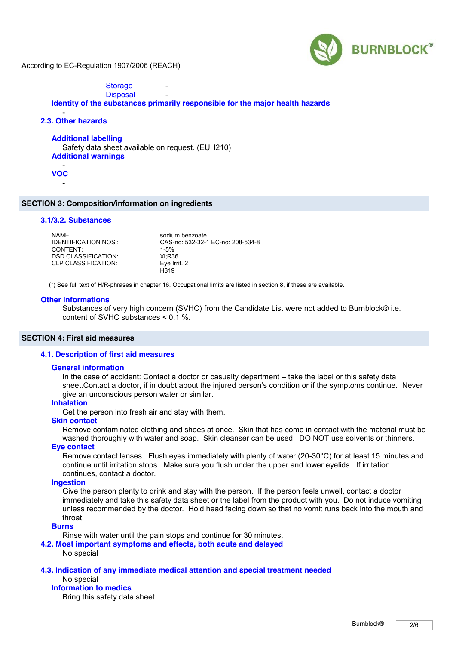

**Storage Disposal** 

# **Identity of the substances primarily responsible for the major health hazards**

#### - **2.3. Other hazards**

### **Additional labelling**

Safety data sheet available on request. (EUH210) **Additional warnings**

- **VOC** -

### **SECTION 3: Composition/information on ingredients**

# **3.1/3.2. Substances**

| NAMF <sup>.</sup>           | sodium benzoate                   |
|-----------------------------|-----------------------------------|
| <b>IDENTIFICATION NOS.:</b> | CAS-no: 532-32-1 EC-no: 208-534-8 |
| CONTENT <sup>.</sup>        | $1 - 5%$                          |
| <b>DSD CLASSIFICATION:</b>  | Xi:R36                            |
| CLP CLASSIFICATION:         | Eye Irrit. 2                      |
|                             | H319                              |

(\*) See full text of H/R-phrases in chapter 16. Occupational limits are listed in section 8, if these are available.

#### **Other informations**

Substances of very high concern (SVHC) from the Candidate List were not added to Burnblock® i.e. content of SVHC substances < 0.1 %.

### **SECTION 4: First aid measures**

#### **4.1. Description of first aid measures**

#### **General information**

In the case of accident: Contact a doctor or casualty department – take the label or this safety data sheet.Contact a doctor, if in doubt about the injured person's condition or if the symptoms continue. Never give an unconscious person water or similar.

#### **Inhalation**

Get the person into fresh air and stay with them.

### **Skin contact**

Remove contaminated clothing and shoes at once. Skin that has come in contact with the material must be washed thoroughly with water and soap. Skin cleanser can be used. DO NOT use solvents or thinners.

# **Eye contact**

Remove contact lenses. Flush eyes immediately with plenty of water (20-30°C) for at least 15 minutes and continue until irritation stops. Make sure you flush under the upper and lower eyelids. If irritation continues, contact a doctor.

# **Ingestion**

Give the person plenty to drink and stay with the person. If the person feels unwell, contact a doctor immediately and take this safety data sheet or the label from the product with you. Do not induce vomiting unless recommended by the doctor. Hold head facing down so that no vomit runs back into the mouth and throat.

### **Burns**

Rinse with water until the pain stops and continue for 30 minutes.

#### **4.2. Most important symptoms and effects, both acute and delayed**

No special

# **4.3. Indication of any immediate medical attention and special treatment needed**

## No special

**Information to medics**

Bring this safety data sheet.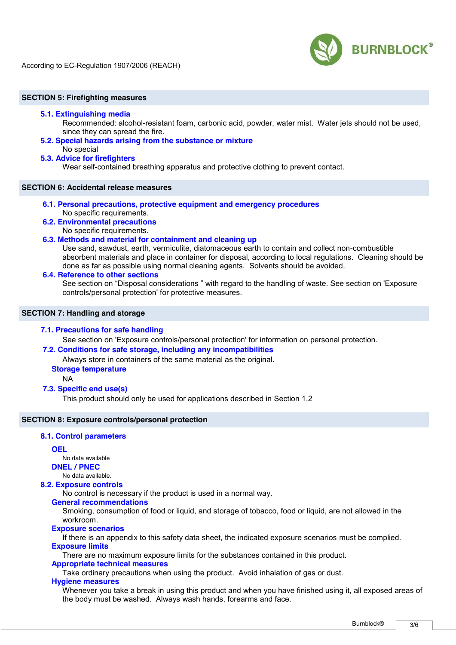

### **SECTION 5: Firefighting measures**

### **5.1. Extinguishing media**

Recommended: alcohol-resistant foam, carbonic acid, powder, water mist. Water jets should not be used, since they can spread the fire.

**5.2. Special hazards arising from the substance or mixture**  No special

### **5.3. Advice for firefighters**

Wear self-contained breathing apparatus and protective clothing to prevent contact.

# **SECTION 6: Accidental release measures**

- **6.1. Personal precautions, protective equipment and emergency procedures**  No specific requirements.
- **6.2. Environmental precautions**  No specific requirements.

### **6.3. Methods and material for containment and cleaning up**

Use sand, sawdust, earth, vermiculite, diatomaceous earth to contain and collect non-combustible absorbent materials and place in container for disposal, according to local regulations. Cleaning should be done as far as possible using normal cleaning agents. Solvents should be avoided.

### **6.4. Reference to other sections**

See section on "Disposal considerations " with regard to the handling of waste. See section on 'Exposure controls/personal protection' for protective measures.

# **SECTION 7: Handling and storage**

### **7.1. Precautions for safe handling**

See section on 'Exposure controls/personal protection' for information on personal protection.

# **7.2. Conditions for safe storage, including any incompatibilities**

Always store in containers of the same material as the original.

# **Storage temperature**

NA

### **7.3. Specific end use(s)**

This product should only be used for applications described in Section 1.2

# **SECTION 8: Exposure controls/personal protection**

# **8.1. Control parameters**

# **OEL**

No data available

**DNEL / PNEC**

# No data available.

# **8.2. Exposure controls**

No control is necessary if the product is used in a normal way.

# **General recommendations**

Smoking, consumption of food or liquid, and storage of tobacco, food or liquid, are not allowed in the workroom.

### **Exposure scenarios**

If there is an appendix to this safety data sheet, the indicated exposure scenarios must be complied. **Exposure limits**

There are no maximum exposure limits for the substances contained in this product.

### **Appropriate technical measures**

Take ordinary precautions when using the product. Avoid inhalation of gas or dust.

### **Hygiene measures**

Whenever you take a break in using this product and when you have finished using it, all exposed areas of the body must be washed. Always wash hands, forearms and face.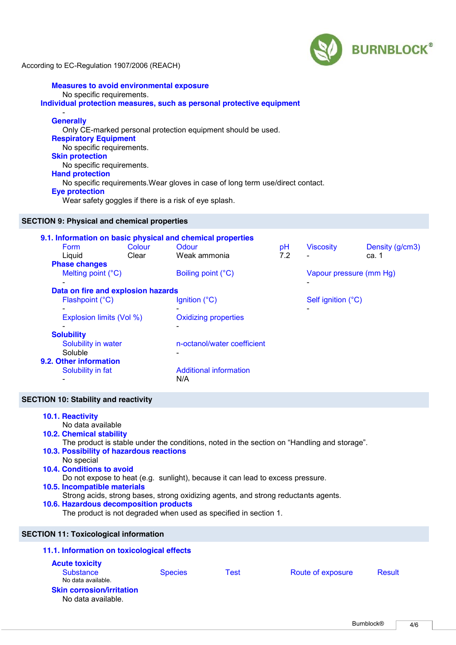

# **Measures to avoid environmental exposure** No specific requirements. **Individual protection measures, such as personal protective equipment**

### - **Generally**

Only CE-marked personal protection equipment should be used. **Respiratory Equipment** No specific requirements. **Skin protection** No specific requirements. **Hand protection** No specific requirements.Wear gloves in case of long term use/direct contact. **Eye protection** Wear safety goggles if there is a risk of eye splash.

# **SECTION 9: Physical and chemical properties**

|                                    |        | 9.1. Information on basic physical and chemical properties |     |                         |                 |  |
|------------------------------------|--------|------------------------------------------------------------|-----|-------------------------|-----------------|--|
| <b>Form</b>                        | Colour | Odour                                                      | pH  | <b>Viscosity</b>        | Density (g/cm3) |  |
| Liquid                             | Clear  | Weak ammonia                                               | 7.2 |                         | ca. 1           |  |
| <b>Phase changes</b>               |        |                                                            |     |                         |                 |  |
| Melting point (°C)                 |        | Boiling point (°C)                                         |     | Vapour pressure (mm Hg) |                 |  |
| $\overline{\phantom{a}}$           |        |                                                            |     | ۰                       |                 |  |
| Data on fire and explosion hazards |        |                                                            |     |                         |                 |  |
| Flashpoint (°C)                    |        | Ignition (°C)                                              |     | Self ignition (°C)      |                 |  |
|                                    |        |                                                            |     |                         |                 |  |
| Explosion limits (Vol %)           |        | <b>Oxidizing properties</b>                                |     |                         |                 |  |
|                                    |        |                                                            |     |                         |                 |  |
| <b>Solubility</b>                  |        | n-octanol/water coefficient                                |     |                         |                 |  |
| Solubility in water<br>Soluble     |        |                                                            |     |                         |                 |  |
| 9.2. Other information             |        |                                                            |     |                         |                 |  |
| Solubility in fat                  |        | <b>Additional information</b>                              |     |                         |                 |  |
|                                    |        | N/A                                                        |     |                         |                 |  |
|                                    |        |                                                            |     |                         |                 |  |

# **SECTION 10: Stability and reactivity**

| 10.1. Reactivity<br>No data available<br><b>10.2. Chemical stability</b><br>10.3. Possibility of hazardous reactions |                              |      | The product is stable under the conditions, noted in the section on "Handling and storage". |        |  |  |  |  |
|----------------------------------------------------------------------------------------------------------------------|------------------------------|------|---------------------------------------------------------------------------------------------|--------|--|--|--|--|
| No special                                                                                                           |                              |      |                                                                                             |        |  |  |  |  |
| 10.4. Conditions to avoid                                                                                            |                              |      |                                                                                             |        |  |  |  |  |
| Do not expose to heat (e.g. sunlight), because it can lead to excess pressure.                                       |                              |      |                                                                                             |        |  |  |  |  |
|                                                                                                                      | 10.5. Incompatible materials |      |                                                                                             |        |  |  |  |  |
| Strong acids, strong bases, strong oxidizing agents, and strong reductants agents.                                   |                              |      |                                                                                             |        |  |  |  |  |
| 10.6. Hazardous decomposition products<br>The product is not degraded when used as specified in section 1.           |                              |      |                                                                                             |        |  |  |  |  |
| <b>SECTION 11: Toxicological information</b>                                                                         |                              |      |                                                                                             |        |  |  |  |  |
| 11.1. Information on toxicological effects                                                                           |                              |      |                                                                                             |        |  |  |  |  |
| <b>Acute toxicity</b><br><b>Substance</b><br>No data available.<br><b>Skin corrosion/irritation</b>                  | <b>Species</b>               | Test | Route of exposure                                                                           | Result |  |  |  |  |
| No data available.                                                                                                   |                              |      |                                                                                             |        |  |  |  |  |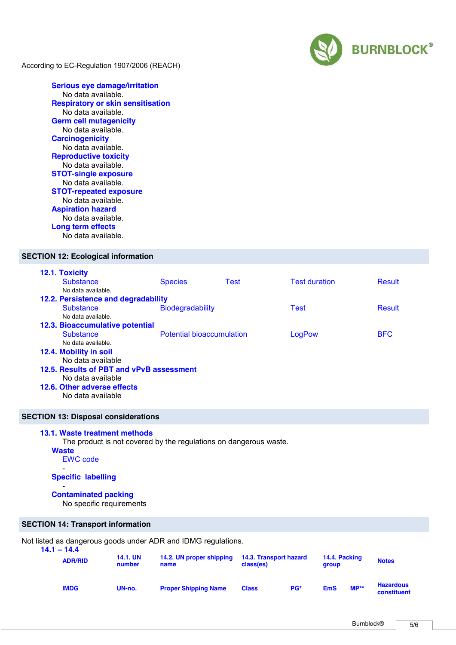

**Serious eye damage/irritation** No data available. **Respiratory or skin sensitisation** No data available. **Germ cell mutagenicity** No data available. **Carcinogenicity** No data available. **Reproductive toxicity** No data available. **STOT-single exposure** No data available. **STOT-repeated exposure** No data available. **Aspiration hazard** No data available. **Long term effects** No data available.

# **SECTION 12: Ecological information**

| 12.1. Toxicity                           |                                  |             |                      |               |  |  |  |
|------------------------------------------|----------------------------------|-------------|----------------------|---------------|--|--|--|
| <b>Substance</b>                         | <b>Species</b>                   | <b>Test</b> | <b>Test duration</b> | <b>Result</b> |  |  |  |
| No data available.                       |                                  |             |                      |               |  |  |  |
| 12.2. Persistence and degradability      |                                  |             |                      |               |  |  |  |
| <b>Substance</b>                         | <b>Biodegradability</b>          |             | <b>Test</b>          | <b>Result</b> |  |  |  |
| No data available.                       |                                  |             |                      |               |  |  |  |
| 12.3. Bioaccumulative potential          |                                  |             |                      |               |  |  |  |
| <b>Substance</b>                         | <b>Potential bioaccumulation</b> |             | LogPow               | <b>BFC</b>    |  |  |  |
| No data available.                       |                                  |             |                      |               |  |  |  |
| 12.4. Mobility in soil                   |                                  |             |                      |               |  |  |  |
| No data available                        |                                  |             |                      |               |  |  |  |
| 12.5. Results of PBT and vPvB assessment |                                  |             |                      |               |  |  |  |
| No data available                        |                                  |             |                      |               |  |  |  |
| 12.6. Other adverse effects              |                                  |             |                      |               |  |  |  |
| No data available                        |                                  |             |                      |               |  |  |  |
|                                          |                                  |             |                      |               |  |  |  |

# **SECTION 13: Disposal considerations**

### **13.1. Waste treatment methods**

The product is not covered by the regulations on dangerous waste.

**Waste**

-

EWC code

#### **Specific labelling**

#### - **Contaminated packing**

No specific requirements

# **SECTION 14: Transport information**

Not listed as dangerous goods under ADR and IDMG regulations.

| $14.1 - 14.4$<br><b>ADR/RID</b> |             | <b>14.1. UN</b><br>14.2. UN proper shipping<br>number<br>name |                             | 14.3. Transport hazard<br>class(es) |     | 14.4. Packing<br>group |        | <b>Notes</b>                    |
|---------------------------------|-------------|---------------------------------------------------------------|-----------------------------|-------------------------------------|-----|------------------------|--------|---------------------------------|
|                                 | <b>IMDG</b> | UN-no.                                                        | <b>Proper Shipping Name</b> | <b>Class</b>                        | PG* | <b>EmS</b>             | $MP**$ | <b>Hazardous</b><br>constituent |